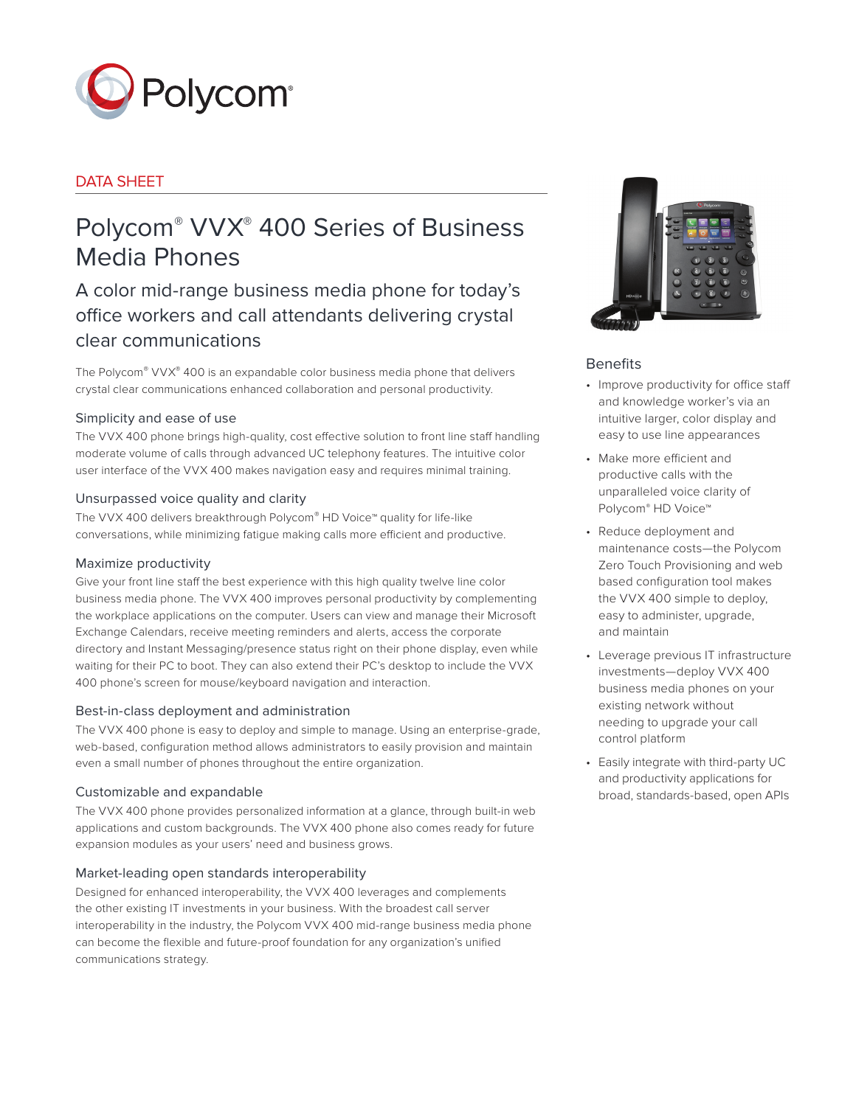

# DATA SHEET

# Polycom® VVX® 400 Series of Business Media Phones

A color mid-range business media phone for today's office workers and call attendants delivering crystal clear communications

The Polycom® VVX® 400 is an expandable color business media phone that delivers crystal clear communications enhanced collaboration and personal productivity.

# Simplicity and ease of use

The VVX 400 phone brings high-quality, cost effective solution to front line staff handling moderate volume of calls through advanced UC telephony features. The intuitive color user interface of the VVX 400 makes navigation easy and requires minimal training.

# Unsurpassed voice quality and clarity

The VVX 400 delivers breakthrough Polycom® HD Voice™ quality for life-like conversations, while minimizing fatigue making calls more efficient and productive.

### Maximize productivity

Give your front line staff the best experience with this high quality twelve line color business media phone. The VVX 400 improves personal productivity by complementing the workplace applications on the computer. Users can view and manage their Microsoft Exchange Calendars, receive meeting reminders and alerts, access the corporate directory and Instant Messaging/presence status right on their phone display, even while waiting for their PC to boot. They can also extend their PC's desktop to include the VVX 400 phone's screen for mouse/keyboard navigation and interaction.

### Best-in-class deployment and administration

The VVX 400 phone is easy to deploy and simple to manage. Using an enterprise-grade, web-based, configuration method allows administrators to easily provision and maintain even a small number of phones throughout the entire organization.

### Customizable and expandable

The VVX 400 phone provides personalized information at a glance, through built-in web applications and custom backgrounds. The VVX 400 phone also comes ready for future expansion modules as your users' need and business grows.

### Market-leading open standards interoperability

Designed for enhanced interoperability, the VVX 400 leverages and complements the other existing IT investments in your business. With the broadest call server interoperability in the industry, the Polycom VVX 400 mid-range business media phone can become the flexible and future-proof foundation for any organization's unified communications strategy.



# Benefits

- Improve productivity for office staff and knowledge worker's via an intuitive larger, color display and easy to use line appearances
- Make more efficient and productive calls with the unparalleled voice clarity of Polycom® HD Voice™
- Reduce deployment and maintenance costs—the Polycom Zero Touch Provisioning and web based configuration tool makes the VVX 400 simple to deploy, easy to administer, upgrade, and maintain
- Leverage previous IT infrastructure investments—deploy VVX 400 business media phones on your existing network without needing to upgrade your call control platform
- Easily integrate with third-party UC and productivity applications for broad, standards-based, open APIs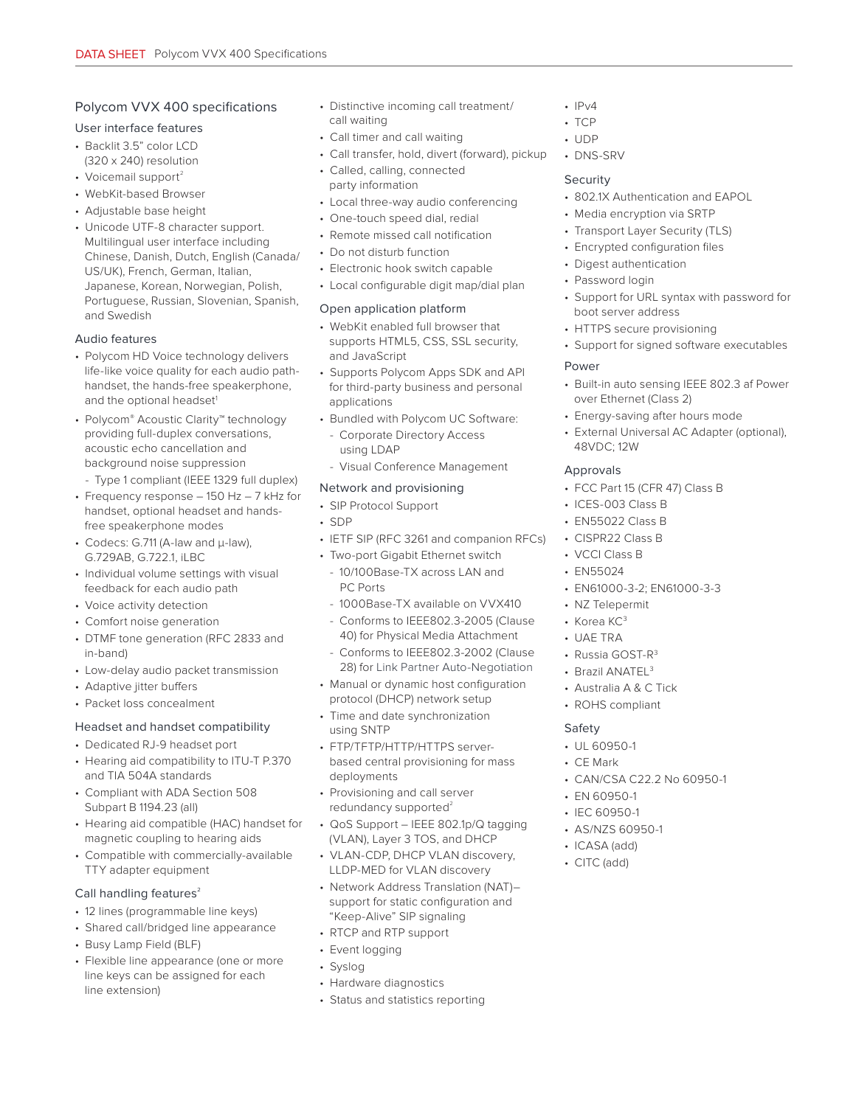# Polycom VVX 400 specifications

### User interface features

- Backlit 3.5" color LCD (320 x 240) resolution
- Voicemail support $2$
- WebKit-based Browser
- Adjustable base height
- Unicode UTF-8 character support. Multilingual user interface including Chinese, Danish, Dutch, English (Canada/ US/UK), French, German, Italian, Japanese, Korean, Norwegian, Polish, Portuguese, Russian, Slovenian, Spanish, and Swedish

# Audio features

- Polycom HD Voice technology delivers life-like voice quality for each audio pathhandset, the hands-free speakerphone, and the optional headset<sup>1</sup>
- Polycom® Acoustic Clarity™ technology providing full-duplex conversations, acoustic echo cancellation and background noise suppression
- Type 1 compliant (IEEE 1329 full duplex)
- Frequency response 150 Hz 7 kHz for handset, optional headset and handsfree speakerphone modes
- Codecs: G.711 (A-law and μ-law), G.729AB, G.722.1, iLBC
- Individual volume settings with visual feedback for each audio path
- Voice activity detection
- Comfort noise generation
- DTMF tone generation (RFC 2833 and in-band)
- Low-delay audio packet transmission
- Adaptive jitter buffers
- Packet loss concealment

# Headset and handset compatibility

- Dedicated RJ-9 headset port
- Hearing aid compatibility to ITU-T P.370 and TIA 504A standards
- Compliant with ADA Section 508 Subpart B 1194.23 (all)
- Hearing aid compatible (HAC) handset for magnetic coupling to hearing aids
- Compatible with commercially-available TTY adapter equipment

# Call handling features<sup>2</sup>

- 12 lines (programmable line keys)
- Shared call/bridged line appearance
- Busy Lamp Field (BLF)
- Flexible line appearance (one or more line keys can be assigned for each line extension)
- Distinctive incoming call treatment/ call waiting
- Call timer and call waiting
- Call transfer, hold, divert (forward), pickup
- Called, calling, connected party information
- Local three-way audio conferencing
- One-touch speed dial, redial
- Remote missed call notification
- Do not disturb function
- Electronic hook switch capable
- Local configurable digit map/dial plan

# Open application platform

- WebKit enabled full browser that supports HTML5, CSS, SSL security, and JavaScript
- Supports Polycom Apps SDK and API for third-party business and personal applications
- Bundled with Polycom UC Software:
	- Corporate Directory Access using LDAP
	- Visual Conference Management

# Network and provisioning

- SIP Protocol Support
- SDP
- IETF SIP (RFC 3261 and companion RFCs)
- Two-port Gigabit Ethernet switch
- 10/100Base-TX across LAN and PC Ports
- 1000Base-TX available on VVX410
- Conforms to IEEE802.3-2005 (Clause 40) for Physical Media Attachment
- Conforms to IEEE802.3-2002 (Clause 28) for Link Partner Auto-Negotiation
- Manual or dynamic host configuration protocol (DHCP) network setup
- Time and date synchronization using SNTP
- FTP/TFTP/HTTP/HTTPS serverbased central provisioning for mass deployments
- Provisioning and call server redundancy supported $2$
- QoS Support IEEE 802.1p/Q tagging (VLAN), Layer 3 TOS, and DHCP
- VLAN-CDP, DHCP VLAN discovery, LLDP-MED for VLAN discovery
- Network Address Translation (NAT)– support for static configuration and "Keep-Alive" SIP signaling
- RTCP and RTP support
- Event logging
- Syslog
- Hardware diagnostics

# • Status and statistics reporting

- $\cdot$  IPv4
- TCP
- UDP • DNS-SRV

# **Security**

- 802.1X Authentication and EAPOL
- Media encryption via SRTP
- Transport Layer Security (TLS)
- Encrypted configuration files
- Digest authentication
- Password login
- Support for URL syntax with password for boot server address
- HTTPS secure provisioning
- Support for signed software executables

# Power

- Built-in auto sensing IEEE 802.3 af Power over Ethernet (Class 2)
- Energy-saving after hours mode
- External Universal AC Adapter (optional), 48VDC; 12W

# Approvals

- FCC Part 15 (CFR 47) Class B
- ICES-003 Class B
- EN55022 Class B
- CISPR22 Class B
- VCCI Class B
- EN55024
- EN61000-3-2; EN61000-3-3

• CAN/CSA C22.2 No 60950-1

- NZ Telepermit
- Korea KC<sup>3</sup>
- UAE TRA

Safety • UL 60950-1 • CE Mark

- Russia GOST-R3
- Brazil ANATEL<sup>3</sup>

• EN 60950-1 • IEC 60950-1 • AS/NZS 60950-1 • ICASA (add) • CITC (add)

• Australia A & C Tick • ROHS compliant